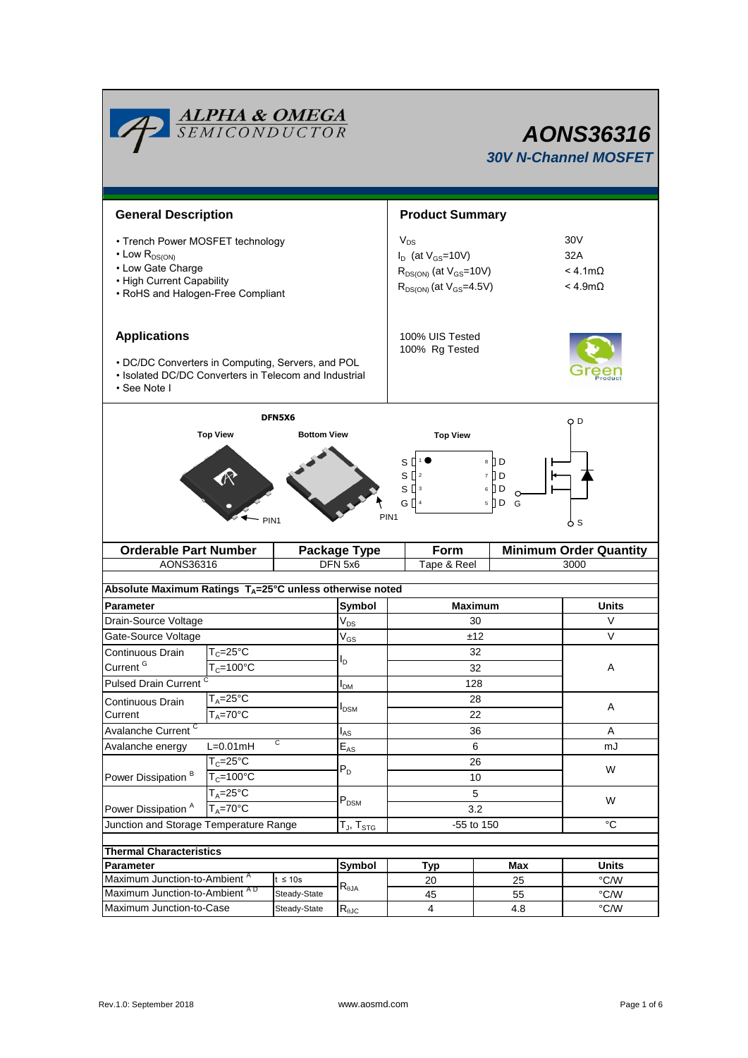| <b>ALPHA &amp; OMEGA</b><br>SEMICONDUCTOR<br>AONS36316<br><b>30V N-Channel MOSFET</b>                                                               |                                                  |                                   |                                                                                                                                                                         |                                                                                                                 |                |                |                                                                  |  |  |
|-----------------------------------------------------------------------------------------------------------------------------------------------------|--------------------------------------------------|-----------------------------------|-------------------------------------------------------------------------------------------------------------------------------------------------------------------------|-----------------------------------------------------------------------------------------------------------------|----------------|----------------|------------------------------------------------------------------|--|--|
| <b>General Description</b>                                                                                                                          |                                                  | <b>Product Summary</b>            |                                                                                                                                                                         |                                                                                                                 |                |                |                                                                  |  |  |
| • Trench Power MOSFET technology<br>$\cdot$ Low $R_{DS(ON)}$<br>• Low Gate Charge<br>• High Current Capability<br>• RoHS and Halogen-Free Compliant |                                                  |                                   |                                                                                                                                                                         | $\rm V_{DS}$<br>$I_D$ (at $V_{GS}$ =10V)<br>$R_{DS(ON)}$ (at $V_{GS}$ =10V)<br>$R_{DS(ON)}$ (at $V_{GS}$ =4.5V) |                |                | 30 <sub>V</sub><br>32A<br>$<$ 4.1m $\Omega$<br>$<$ 4.9m $\Omega$ |  |  |
| <b>Applications</b><br>• DC/DC Converters in Computing, Servers, and POL<br>. Isolated DC/DC Converters in Telecom and Industrial<br>• See Note I   |                                                  | 100% UIS Tested<br>100% Rg Tested |                                                                                                                                                                         |                                                                                                                 |                |                |                                                                  |  |  |
| <b>Top View</b>                                                                                                                                     | DFN5X6<br><b>Bottom View</b><br>PIN <sub>1</sub> |                                   | <b>Top View</b><br>8 D<br>S<br>S<br>ÌЮ<br>$\overline{\phantom{a}}$<br>s [<br>∏ D<br>$\overline{\mathbf{3}}$<br>6<br>G Il 4<br>$5 \nparallel D$<br>G<br>PIN <sub>1</sub> |                                                                                                                 |                | O D<br>6 s     |                                                                  |  |  |
| <b>Orderable Part Number</b><br>AONS36316                                                                                                           |                                                  |                                   | <b>Package Type</b><br>DFN 5x6                                                                                                                                          | Form<br>Tape & Reel                                                                                             |                |                | <b>Minimum Order Quantity</b><br>3000                            |  |  |
| Absolute Maximum Ratings T <sub>A</sub> =25°C unless otherwise noted                                                                                |                                                  |                                   |                                                                                                                                                                         |                                                                                                                 |                |                |                                                                  |  |  |
| Parameter                                                                                                                                           |                                                  |                                   | Symbol                                                                                                                                                                  |                                                                                                                 | <b>Maximum</b> |                | <b>Units</b>                                                     |  |  |
| Drain-Source Voltage                                                                                                                                |                                                  |                                   |                                                                                                                                                                         | 30                                                                                                              |                |                | $\vee$                                                           |  |  |
| Gate-Source Voltage                                                                                                                                 |                                                  |                                   | $\mathsf{V}_{\mathsf{GS}}$                                                                                                                                              |                                                                                                                 | ±12            |                | V                                                                |  |  |
| Continuous Drain<br>Current <sup>G</sup><br><b>Pulsed Drain Current</b>                                                                             | $T_c = 25$ °C<br>$T_c = 100^{\circ}$ C           |                                   | l <sub>D</sub>                                                                                                                                                          | 32<br>32<br>128                                                                                                 |                |                | Α                                                                |  |  |
| Continuous Drain<br>Current                                                                                                                         | $T_A = 25$ °C<br>$T_A = 70$ °C                   |                                   | I <sub>DM</sub><br>I <sub>DSM</sub>                                                                                                                                     | 28<br>22                                                                                                        |                |                | A                                                                |  |  |
| Avalanche Current <sup>C</sup>                                                                                                                      |                                                  |                                   | $I_{AS}$                                                                                                                                                                |                                                                                                                 | 36             |                | Α                                                                |  |  |
| С<br>Avalanche energy<br>$L=0.01$ mH                                                                                                                |                                                  |                                   | $E_{AS}$                                                                                                                                                                | 6                                                                                                               |                |                | mJ                                                               |  |  |
| Power Dissipation <sup>B</sup>                                                                                                                      | $T_c = 25$ °C<br>$T_c = 100^{\circ}$ C           |                                   |                                                                                                                                                                         | 26<br>10                                                                                                        |                |                | W                                                                |  |  |
| $T_A = 25$ °C<br>$T_A = 70^\circ C$<br>Power Dissipation <sup>A</sup>                                                                               |                                                  | $P_{DSM}$                         | 5<br>3.2                                                                                                                                                                |                                                                                                                 |                | W              |                                                                  |  |  |
| Junction and Storage Temperature Range                                                                                                              | $T_J$ , $T_{STG}$                                | -55 to 150                        |                                                                                                                                                                         |                                                                                                                 | $^{\circ}C$    |                |                                                                  |  |  |
| <b>Thermal Characteristics</b>                                                                                                                      |                                                  |                                   |                                                                                                                                                                         |                                                                                                                 |                |                |                                                                  |  |  |
| <b>Parameter</b>                                                                                                                                    | Symbol                                           | Typ                               |                                                                                                                                                                         | Max                                                                                                             | <b>Units</b>   |                |                                                                  |  |  |
| Maximum Junction-to-Ambient <sup>A</sup><br>$t \leq 10s$                                                                                            |                                                  |                                   | 20                                                                                                                                                                      |                                                                                                                 | 25             | $^{\circ}$ C/W |                                                                  |  |  |
| Maximum Junction-to-Ambient AD                                                                                                                      |                                                  | Steady-State                      | $R_{\theta JA}$                                                                                                                                                         | 45                                                                                                              |                | 55             | °C/W                                                             |  |  |
| Maximum Junction-to-Case                                                                                                                            |                                                  | Steady-State                      | $R_{\theta JC}$                                                                                                                                                         | $\overline{\mathbf{4}}$                                                                                         |                | 4.8            | °C/W                                                             |  |  |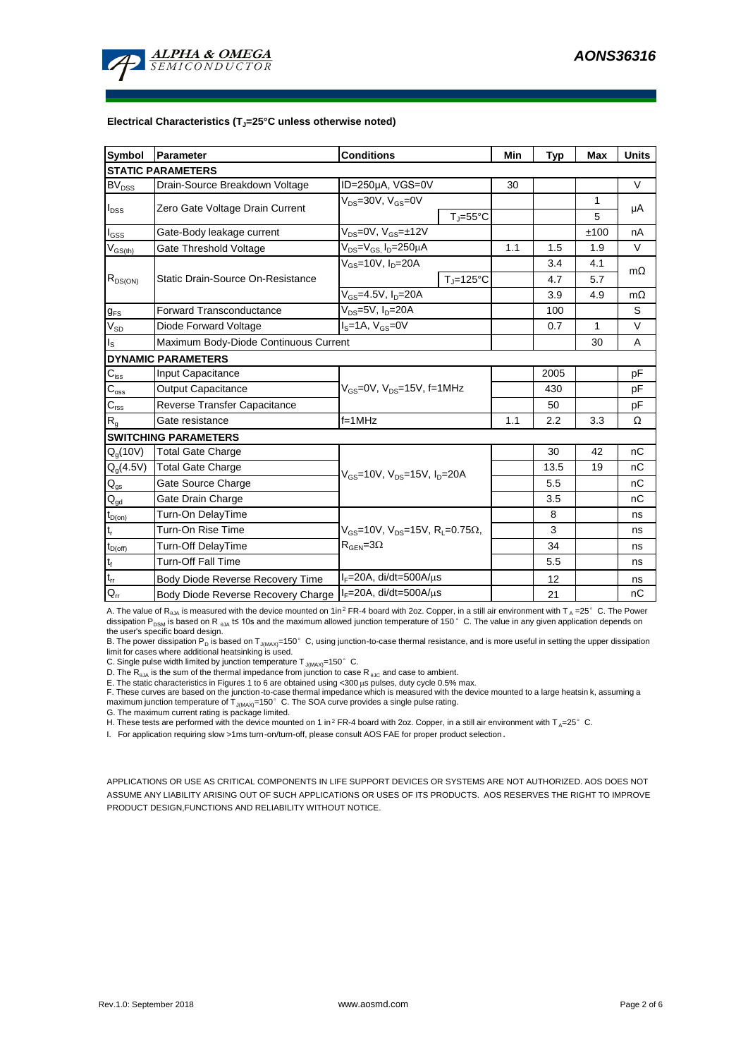

#### **Electrical Characteristics (TJ=25°C unless otherwise noted)**

| <b>Symbol</b>              | <b>Parameter</b>                                           | <b>Conditions</b>                                                                           |                    |      | <b>Typ</b> | <b>Max</b> | <b>Units</b> |  |  |  |  |  |
|----------------------------|------------------------------------------------------------|---------------------------------------------------------------------------------------------|--------------------|------|------------|------------|--------------|--|--|--|--|--|
| <b>STATIC PARAMETERS</b>   |                                                            |                                                                                             |                    |      |            |            |              |  |  |  |  |  |
| $BV_{DSS}$                 | Drain-Source Breakdown Voltage                             | ID=250µA, VGS=0V                                                                            |                    | 30   |            |            | $\vee$       |  |  |  |  |  |
| $I_{DSS}$                  | Zero Gate Voltage Drain Current                            | $V_{DS}$ =30V, $V_{GS}$ =0V<br>$T_i = 55^{\circ}C$                                          |                    |      |            | 1          | μA           |  |  |  |  |  |
|                            |                                                            |                                                                                             |                    |      |            | 5          |              |  |  |  |  |  |
| l <sub>GSS</sub>           | Gate-Body leakage current                                  | $V_{DS} = 0V$ , $V_{GS} = \pm 12V$                                                          |                    |      |            | ±100       | nA           |  |  |  |  |  |
| $\rm V_{GS(th)}$           | Gate Threshold Voltage                                     | $V_{DS} = V_{GS}$ , $I_D = 250 \mu A$                                                       |                    | 1.1  | 1.5        | 1.9        | $\vee$       |  |  |  |  |  |
| $R_{DS(ON)}$               | Static Drain-Source On-Resistance                          | $V_{GS}$ =10V, $I_D$ =20A                                                                   |                    |      | 3.4        | 4.1        |              |  |  |  |  |  |
|                            |                                                            |                                                                                             | $T_{\rm J}$ =125°C |      | 4.7        | 5.7        | $m\Omega$    |  |  |  |  |  |
|                            |                                                            | $V_{GS} = 4.5V, I_D = 20A$                                                                  |                    | 3.9  | 4.9        | $m\Omega$  |              |  |  |  |  |  |
| $g_{FS}$                   | <b>Forward Transconductance</b>                            | $V_{DS}$ =5V, $I_D$ =20A                                                                    |                    | 100  |            | S          |              |  |  |  |  |  |
| $V_{SD}$                   | Diode Forward Voltage                                      | $IS=1A, VGS=0V$                                                                             |                    | 0.7  | 1          | $\vee$     |              |  |  |  |  |  |
| I <sub>s</sub>             | Maximum Body-Diode Continuous Current                      |                                                                                             |                    | 30   | A          |            |              |  |  |  |  |  |
|                            | <b>DYNAMIC PARAMETERS</b>                                  |                                                                                             |                    |      |            |            |              |  |  |  |  |  |
| $C_{\text{iss}}$           | Input Capacitance                                          |                                                                                             |                    | 2005 |            | pF         |              |  |  |  |  |  |
| $C_{\rm oss}$              | <b>Output Capacitance</b>                                  | $V_{GS}$ =0V, $V_{DS}$ =15V, f=1MHz                                                         |                    |      | 430        |            | рF           |  |  |  |  |  |
| $C_{\rm rss}$              | Reverse Transfer Capacitance                               |                                                                                             |                    | 50   |            | pF         |              |  |  |  |  |  |
| $R_{g}$                    | Gate resistance                                            | $f = 1$ MHz                                                                                 |                    | 1.1  | 2.2        | 3.3        | Ω            |  |  |  |  |  |
|                            | <b>SWITCHING PARAMETERS</b>                                |                                                                                             |                    |      |            |            |              |  |  |  |  |  |
| $Q_q(10V)$                 | <b>Total Gate Charge</b>                                   | $V_{\text{GS}} = 10V$ , $V_{\text{DS}} = 15V$ , $I_{\text{D}} = 20A$                        |                    |      | 30         | 42         | nC           |  |  |  |  |  |
| $Q_g(4.5V)$                | <b>Total Gate Charge</b>                                   |                                                                                             |                    |      | 13.5       | 19         | пC           |  |  |  |  |  |
| $\mathsf{Q}_{\mathsf{gs}}$ | Gate Source Charge                                         |                                                                                             |                    |      | 5.5        |            | nC           |  |  |  |  |  |
| $Q_{gd}$                   | Gate Drain Charge                                          |                                                                                             |                    | 3.5  |            | nС         |              |  |  |  |  |  |
| $t_{D(on)}$                | Turn-On DelayTime                                          |                                                                                             |                    |      | 8          |            | ns           |  |  |  |  |  |
| $t_r$                      | Turn-On Rise Time                                          | $V_{GS}$ =10V, $V_{DS}$ =15V, R <sub>L</sub> =0.75 $\Omega$ ,<br>$R_{\text{GEN}} = 3\Omega$ |                    |      | 3          |            | ns           |  |  |  |  |  |
| $t_{D(\text{off})}$        | Turn-Off DelayTime                                         |                                                                                             |                    |      | 34         |            | ns           |  |  |  |  |  |
| $t_f$                      | <b>Turn-Off Fall Time</b>                                  |                                                                                             |                    | 5.5  |            | ns         |              |  |  |  |  |  |
| $\mathsf{t}_\mathsf{rr}$   | Body Diode Reverse Recovery Time                           | $I_F = 20A$ , di/dt=500A/ $\mu$ s                                                           |                    |      | 12         |            | ns           |  |  |  |  |  |
| $Q_{rr}$                   | Body Diode Reverse Recovery Charge   IF=20A, di/dt=500A/us |                                                                                             |                    |      | 21         |            | nC           |  |  |  |  |  |

A. The value of R<sub>01A</sub> is measured with the device mounted on 1in<sup>2</sup> FR-4 board with 2oz. Copper, in a still air environment with T<sub>a</sub> =25°C. The Power dissipation P<sub>DSM</sub> is based on R <sub>0JA</sub> t≤ 10s and the maximum allowed junction temperature of 150°C. The value in any given application depends on the user's specific board design.

B. The power dissipation P<sub>D</sub> is based on T<sub>J(MAX)</sub>=150°C, using junction-to-case thermal resistance, and is more useful in setting the upper dissipation limit for cases where additional heatsinking is used.

C. Single pulse width limited by junction temperature T $_{J(MAX)}=150^{\circ}$  C.

D. The  $R_{\theta JA}$  is the sum of the thermal impedance from junction to case R  $_{\theta JC}$  and case to ambient.

E. The static characteristics in Figures 1 to 6 are obtained using <300 μs pulses, duty cycle 0.5% max.<br>F. These curves are based on the junction-to-case thermal impedance which is measured with the device mounted to a la maximum junction temperature of T<sub>J(MAX)</sub>=150°C. The SOA curve provides a single pulse rating.<br>G. The maximum current rating is package limited.

H. These tests are performed with the device mounted on 1 in <sup>2</sup> FR-4 board with 2oz. Copper, in a still air environment with T<sub>A</sub>=25°C.

I. For application requiring slow >1ms turn-on/turn-off, please consult AOS FAE for proper product selection.

APPLICATIONS OR USE AS CRITICAL COMPONENTS IN LIFE SUPPORT DEVICES OR SYSTEMS ARE NOT AUTHORIZED. AOS DOES NOT ASSUME ANY LIABILITY ARISING OUT OF SUCH APPLICATIONS OR USES OF ITS PRODUCTS. AOS RESERVES THE RIGHT TO IMPROVE PRODUCT DESIGN,FUNCTIONS AND RELIABILITY WITHOUT NOTICE.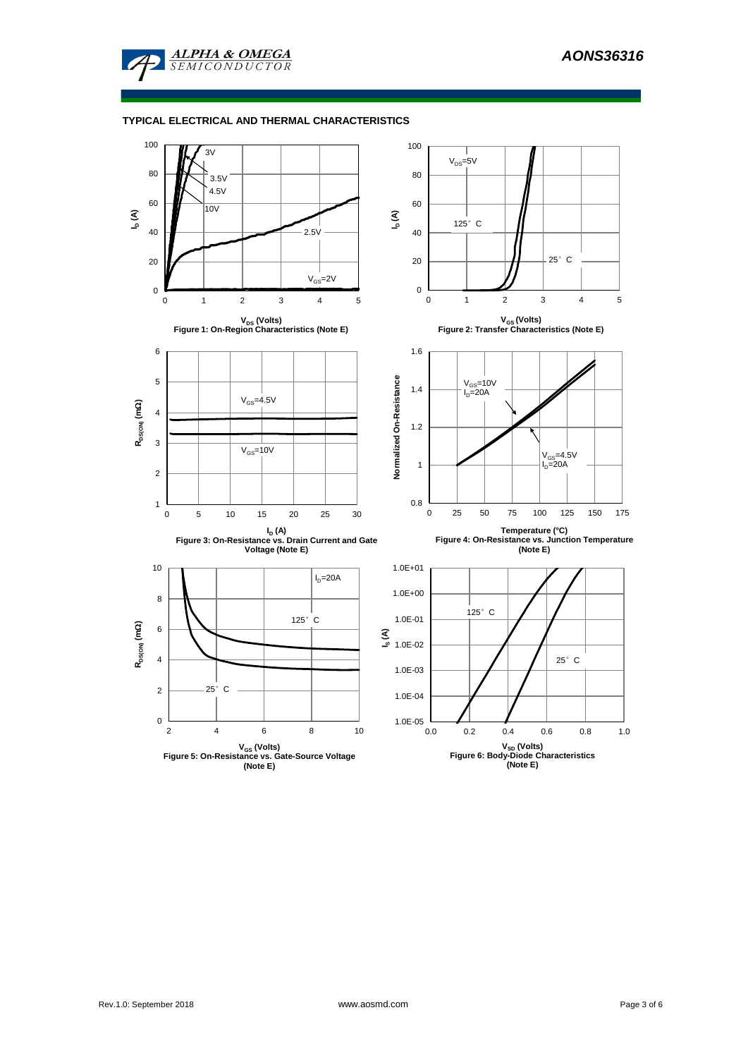

### **TYPICAL ELECTRICAL AND THERMAL CHARACTERISTICS**

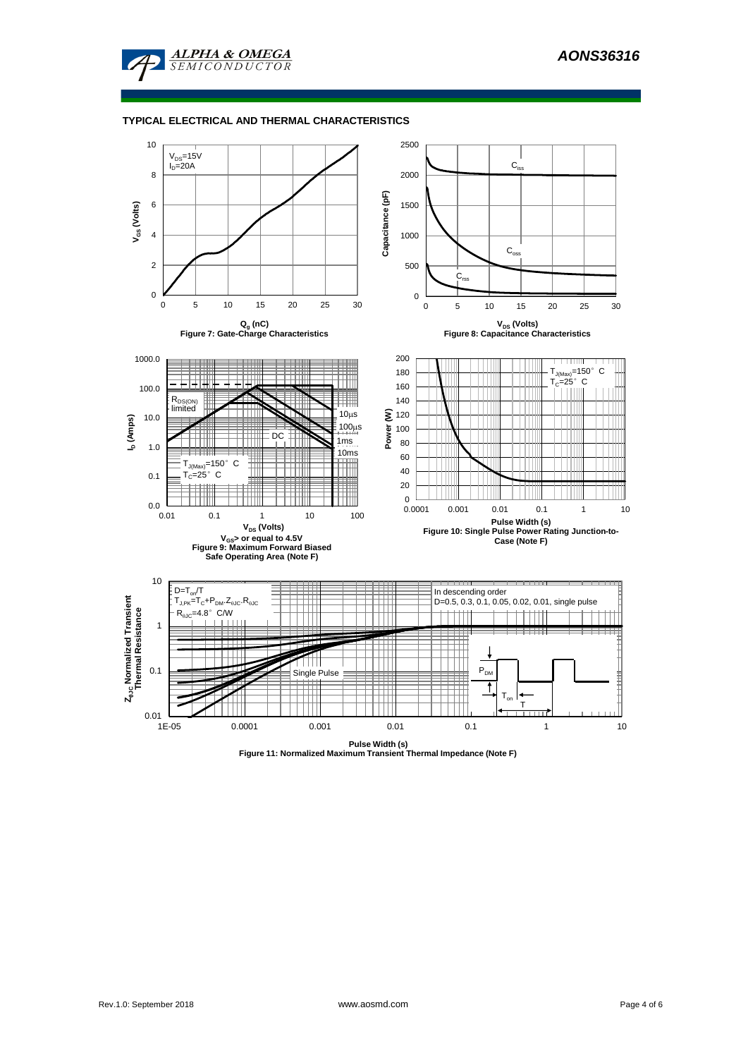

#### **TYPICAL ELECTRICAL AND THERMAL CHARACTERISTICS**



**Pulse Width (s) Figure 11: Normalized Maximum Transient Thermal Impedance (Note F)**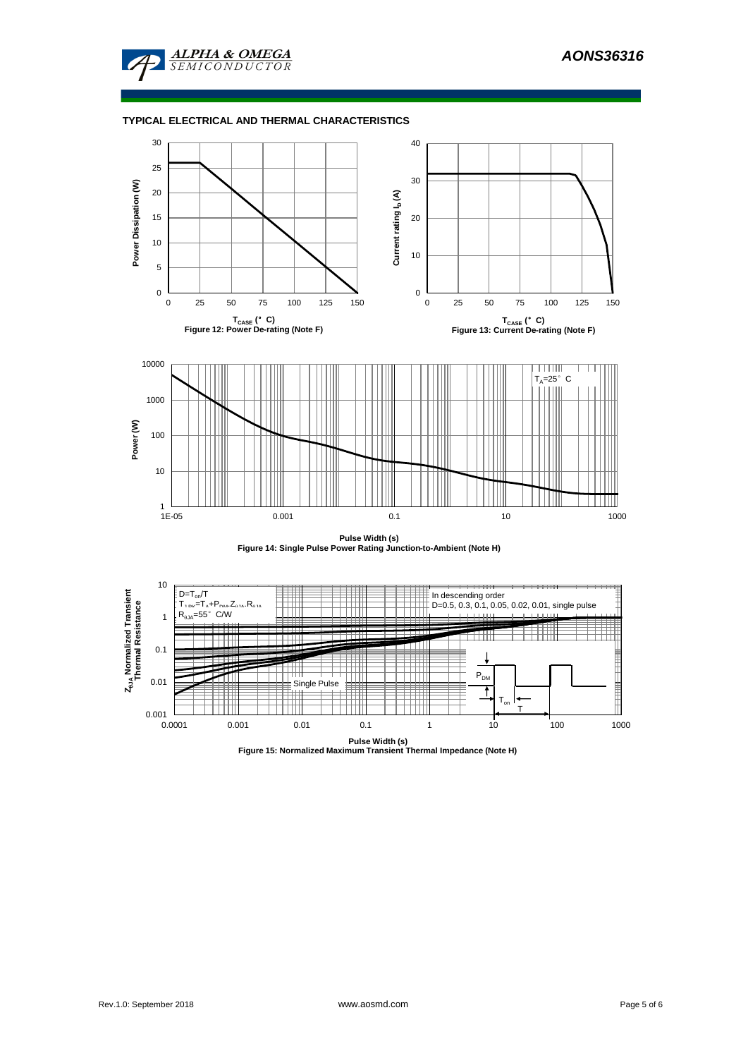

## **TYPICAL ELECTRICAL AND THERMAL CHARACTERISTICS**



**Pulse Width (s) Figure 14: Single Pulse Power Rating Junction-to-Ambient (Note H)**



**Pulse Width (s) Figure 15: Normalized Maximum Transient Thermal Impedance (Note H)**